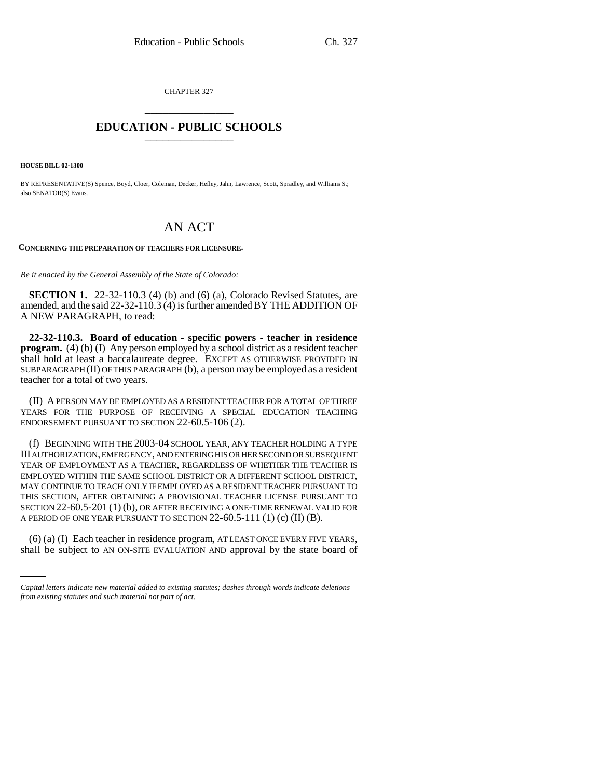CHAPTER 327 \_\_\_\_\_\_\_\_\_\_\_\_\_\_\_

## **EDUCATION - PUBLIC SCHOOLS** \_\_\_\_\_\_\_\_\_\_\_\_\_\_\_

**HOUSE BILL 02-1300**

BY REPRESENTATIVE(S) Spence, Boyd, Cloer, Coleman, Decker, Hefley, Jahn, Lawrence, Scott, Spradley, and Williams S.; also SENATOR(S) Evans.

## AN ACT

**CONCERNING THE PREPARATION OF TEACHERS FOR LICENSURE.**

*Be it enacted by the General Assembly of the State of Colorado:*

**SECTION 1.** 22-32-110.3 (4) (b) and (6) (a), Colorado Revised Statutes, are amended, and the said 22-32-110.3 (4) is further amended BY THE ADDITION OF A NEW PARAGRAPH, to read:

**22-32-110.3. Board of education - specific powers - teacher in residence program.** (4) (b) (I) Any person employed by a school district as a resident teacher shall hold at least a baccalaureate degree. EXCEPT AS OTHERWISE PROVIDED IN SUBPARAGRAPH (II) OF THIS PARAGRAPH (b), a person may be employed as a resident teacher for a total of two years.

(II) A PERSON MAY BE EMPLOYED AS A RESIDENT TEACHER FOR A TOTAL OF THREE YEARS FOR THE PURPOSE OF RECEIVING A SPECIAL EDUCATION TEACHING ENDORSEMENT PURSUANT TO SECTION 22-60.5-106 (2).

A PERIOD OF ONE YEAR PURSUANT TO SECTION  $22\n-60.5\n-111$  (1) (c) (II) (B). (f) BEGINNING WITH THE 2003-04 SCHOOL YEAR, ANY TEACHER HOLDING A TYPE III AUTHORIZATION, EMERGENCY, AND ENTERING HIS OR HER SECOND OR SUBSEQUENT YEAR OF EMPLOYMENT AS A TEACHER, REGARDLESS OF WHETHER THE TEACHER IS EMPLOYED WITHIN THE SAME SCHOOL DISTRICT OR A DIFFERENT SCHOOL DISTRICT, MAY CONTINUE TO TEACH ONLY IF EMPLOYED AS A RESIDENT TEACHER PURSUANT TO THIS SECTION, AFTER OBTAINING A PROVISIONAL TEACHER LICENSE PURSUANT TO SECTION 22-60.5-201 (1) (b), OR AFTER RECEIVING A ONE-TIME RENEWAL VALID FOR

(6) (a) (I) Each teacher in residence program, AT LEAST ONCE EVERY FIVE YEARS, shall be subject to AN ON-SITE EVALUATION AND approval by the state board of

*Capital letters indicate new material added to existing statutes; dashes through words indicate deletions from existing statutes and such material not part of act.*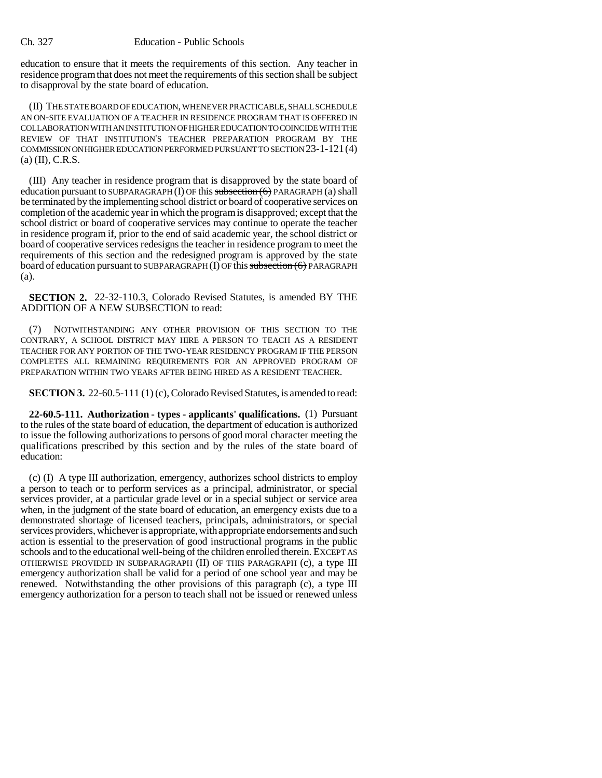education to ensure that it meets the requirements of this section. Any teacher in residence program that does not meet the requirements of this section shall be subject to disapproval by the state board of education.

(II) THE STATE BOARD OF EDUCATION, WHENEVER PRACTICABLE, SHALL SCHEDULE AN ON-SITE EVALUATION OF A TEACHER IN RESIDENCE PROGRAM THAT IS OFFERED IN COLLABORATION WITH AN INSTITUTION OF HIGHER EDUCATION TO COINCIDE WITH THE REVIEW OF THAT INSTITUTION'S TEACHER PREPARATION PROGRAM BY THE COMMISSION ON HIGHER EDUCATION PERFORMED PURSUANT TO SECTION 23-1-121(4)  $(a)$  (II), C.R.S.

(III) Any teacher in residence program that is disapproved by the state board of education pursuant to SUBPARAGRAPH (I) OF this subsection  $(6)$  PARAGRAPH (a) shall be terminated by the implementing school district or board of cooperative services on completion of the academic year in which the program is disapproved; except that the school district or board of cooperative services may continue to operate the teacher in residence program if, prior to the end of said academic year, the school district or board of cooperative services redesigns the teacher in residence program to meet the requirements of this section and the redesigned program is approved by the state board of education pursuant to SUBPARAGRAPH (I) OF this subsection (6) PARAGRAPH (a).

**SECTION 2.** 22-32-110.3, Colorado Revised Statutes, is amended BY THE ADDITION OF A NEW SUBSECTION to read:

(7) NOTWITHSTANDING ANY OTHER PROVISION OF THIS SECTION TO THE CONTRARY, A SCHOOL DISTRICT MAY HIRE A PERSON TO TEACH AS A RESIDENT TEACHER FOR ANY PORTION OF THE TWO-YEAR RESIDENCY PROGRAM IF THE PERSON COMPLETES ALL REMAINING REQUIREMENTS FOR AN APPROVED PROGRAM OF PREPARATION WITHIN TWO YEARS AFTER BEING HIRED AS A RESIDENT TEACHER.

**SECTION 3.** 22-60.5-111 (1) (c), Colorado Revised Statutes, is amended to read:

**22-60.5-111. Authorization - types - applicants' qualifications.** (1) Pursuant to the rules of the state board of education, the department of education is authorized to issue the following authorizations to persons of good moral character meeting the qualifications prescribed by this section and by the rules of the state board of education:

(c) (I) A type III authorization, emergency, authorizes school districts to employ a person to teach or to perform services as a principal, administrator, or special services provider, at a particular grade level or in a special subject or service area when, in the judgment of the state board of education, an emergency exists due to a demonstrated shortage of licensed teachers, principals, administrators, or special services providers, whichever is appropriate, with appropriate endorsements and such action is essential to the preservation of good instructional programs in the public schools and to the educational well-being of the children enrolled therein. EXCEPT AS OTHERWISE PROVIDED IN SUBPARAGRAPH (II) OF THIS PARAGRAPH (c), a type III emergency authorization shall be valid for a period of one school year and may be renewed. Notwithstanding the other provisions of this paragraph (c), a type III emergency authorization for a person to teach shall not be issued or renewed unless